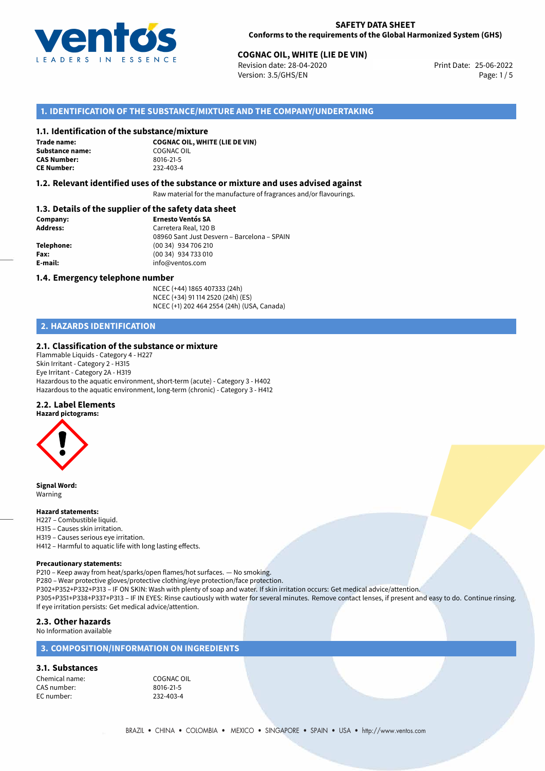

## **COGNAC OIL, WHITE (LIE DE VIN)**<br>
Revision date: 28-04-2020<br>
Print Date: 25-06-2022

Revision date: 28-04-2020 Version: 3.5/GHS/EN Page: 1/5

## **1. IDENTIFICATION OF THE SUBSTANCE/MIXTURE AND THE COMPANY/UNDERTAKING**

#### **1.1. Identification of the substance/mixture**

**Trade name: Substance name:** COGNAC OIL<br> **CAS Number:** 8016-21-5 **CAS Number: CE Number:** 232-403-4

**COGNAC OIL, WHITE (LIE DE VIN)**

## **1.2. Relevant identified uses of the substance or mixture and uses advised against**

Raw material for the manufacture of fragrances and/or flavourings.

## **1.3. Details of the supplier of the safety data sheet**

| Company:        | <b>Ernesto Ventós SA</b>                    |
|-----------------|---------------------------------------------|
| <b>Address:</b> | Carretera Real, 120 B                       |
|                 | 08960 Sant Just Desvern - Barcelona - SPAIN |
| Telephone:      | (00 34) 934 706 210                         |
| Fax:            | (00 34) 934 733 010                         |
| E-mail:         | info@ventos.com                             |
|                 |                                             |

#### **1.4. Emergency telephone number**

NCEC (+44) 1865 407333 (24h) NCEC (+34) 91 114 2520 (24h) (ES) NCEC (+1) 202 464 2554 (24h) (USA, Canada)

## **2. HAZARDS IDENTIFICATION**

#### **2.1. Classification of the substance or mixture**

Flammable Liquids - Category 4 - H227 Skin Irritant - Category 2 - H315 Eye Irritant - Category 2A - H319 Hazardous to the aquatic environment, short-term (acute) - Category 3 - H402 Hazardous to the aquatic environment, long-term (chronic) - Category 3 - H412

#### **2.2. Label Elements**



**Signal Word:** Warning

#### **Hazard statements:**

- H227 Combustible liquid.
- H315 Causes skin irritation.
- H319 Causes serious eye irritation.
- H412 Harmful to aquatic life with long lasting effects.

#### **Precautionary statements:**

P210 – Keep away from heat/sparks/open flames/hot surfaces. — No smoking. P280 – Wear protective gloves/protective clothing/eye protection/face protection. P302+P352+P332+P313 – IF ON SKIN: Wash with plenty of soap and water. If skin irritation occurs: Get medical advice/attention. P305+P351+P338+P337+P313 – IF IN EYES: Rinse cautiously with water for several minutes. Remove contact lenses, if present and easy to do. Continue rinsing. If eye irritation persists: Get medical advice/attention.

## **2.3. Other hazards**

No Information available

## **3. COMPOSITION/INFORMATION ON INGREDIENTS**

## **3.1. Substances**

Chemical name: COGNAC OIL CAS number: 8016-21-5<br>EC number: 232-403-4 EC number: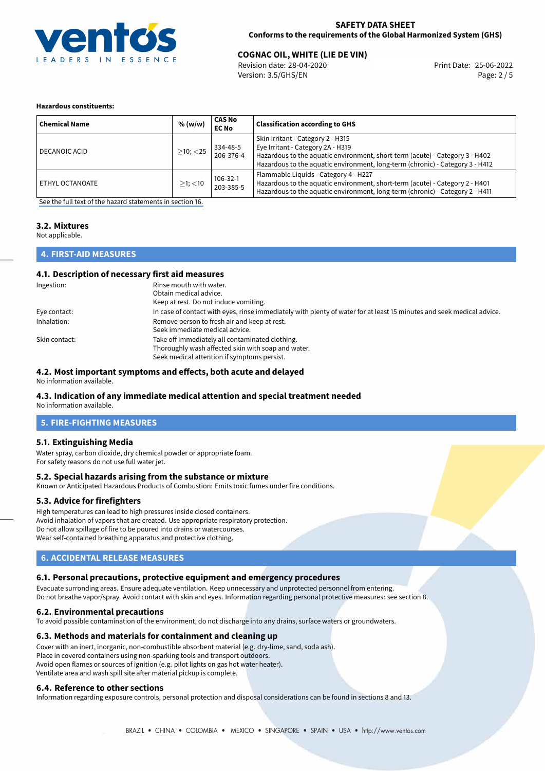

## **SAFETY DATA SHEET Conforms to the requirements of the Global Harmonized System (GHS)**

## **COGNAC OIL, WHITE (LIE DE VIN)**<br>
Revision date: 28-04-2020<br>
Print Date: 25-06-2022

Revision date: 28-04-2020 Version: 3.5/GHS/EN Page: 2 / 5

#### **Hazardous constituents:**

| <b>Chemical Name</b> | % (w/w)        | <b>CAS No</b><br><b>EC No</b> | <b>Classification according to GHS</b>                                                                                                                                                                                                  |
|----------------------|----------------|-------------------------------|-----------------------------------------------------------------------------------------------------------------------------------------------------------------------------------------------------------------------------------------|
| DECANOIC ACID        | $>10$ ; $<$ 25 | 334-48-5<br>206-376-4         | Skin Irritant - Category 2 - H315<br>Eye Irritant - Category 2A - H319<br>Hazardous to the aquatic environment, short-term (acute) - Category 3 - H402<br>Hazardous to the aquatic environment, long-term (chronic) - Category 3 - H412 |
| ETHYL OCTANOATE      | $>1$ ; $<$ 10  | $106 - 32 - 1$<br>203-385-5   | Flammable Liquids - Category 4 - H227<br>Hazardous to the aquatic environment, short-term (acute) - Category 2 - H401<br>Hazardous to the aquatic environment, long-term (chronic) - Category 2 - H411                                  |

[See the full text of the hazard statements in section 16.](#page-4-0)

## **3.2. Mixtures**

Not applicable.

## **4. FIRST-AID MEASURES**

## **4.1. Description of necessary first aid measures**

| Ingestion:    | Rinse mouth with water.<br>Obtain medical advice.<br>Keep at rest. Do not induce vomiting.                                                           |
|---------------|------------------------------------------------------------------------------------------------------------------------------------------------------|
| Eye contact:  | In case of contact with eyes, rinse immediately with plenty of water for at least 15 minutes and seek medical advice.                                |
| Inhalation:   | Remove person to fresh air and keep at rest.<br>Seek immediate medical advice.                                                                       |
| Skin contact: | Take off immediately all contaminated clothing.<br>Thoroughly wash affected skin with soap and water.<br>Seek medical attention if symptoms persist. |

#### **4.2. Most important symptoms and effects, both acute and delayed**

No information available.

## **4.3. Indication of any immediate medical attention and special treatment needed**

No information available.

## **5. FIRE-FIGHTING MEASURES**

## **5.1. Extinguishing Media**

Water spray, carbon dioxide, dry chemical powder or appropriate foam. For safety reasons do not use full water jet.

#### **5.2. Special hazards arising from the substance or mixture**

Known or Anticipated Hazardous Products of Combustion: Emits toxic fumes under fire conditions.

## **5.3. Advice for firefighters**

High temperatures can lead to high pressures inside closed containers. Avoid inhalation of vapors that are created. Use appropriate respiratory protection. Do not allow spillage of fire to be poured into drains or watercourses. Wear self-contained breathing apparatus and protective clothing.

## **6. ACCIDENTAL RELEASE MEASURES**

## **6.1. Personal precautions, protective equipment and emergency procedures**

Evacuate surronding areas. Ensure adequate ventilation. Keep unnecessary and unprotected personnel from entering. Do not breathe vapor/spray. Avoid contact with skin and eyes. Information regarding personal protective measures: see section 8.

#### **6.2. Environmental precautions**

To avoid possible contamination of the environment, do not discharge into any drains, surface waters or groundwaters.

## **6.3. Methods and materials for containment and cleaning up**

Cover with an inert, inorganic, non-combustible absorbent material (e.g. dry-lime, sand, soda ash). Place in covered containers using non-sparking tools and transport outdoors. Avoid open flames or sources of ignition (e.g. pilot lights on gas hot water heater). Ventilate area and wash spill site after material pickup is complete.

#### **6.4. Reference to other sections**

Information regarding exposure controls, personal protection and disposal considerations can be found in sections 8 and 13.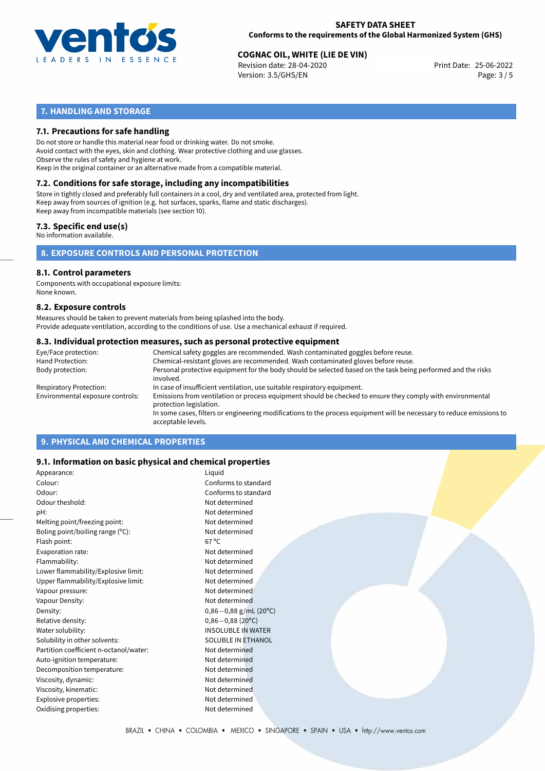

## **SAFETY DATA SHEET Conforms to the requirements of the Global Harmonized System (GHS)**

# **COGNAC OIL, WHITE (LIE DE VIN)**<br>
Revision date: 28-04-2020<br>
Print Date: 25-06-2022

Revision date: 28-04-2020 Version: 3.5/GHS/EN Page: 3 / 5

## **7. HANDLING AND STORAGE**

## **7.1. Precautions for safe handling**

Do not store or handle this material near food or drinking water. Do not smoke. Avoid contact with the eyes, skin and clothing. Wear protective clothing and use glasses. Observe the rules of safety and hygiene at work. Keep in the original container or an alternative made from a compatible material.

## **7.2. Conditions for safe storage, including any incompatibilities**

Store in tightly closed and preferably full containers in a cool, dry and ventilated area, protected from light. Keep away from sources of ignition (e.g. hot surfaces, sparks, flame and static discharges). Keep away from incompatible materials (see section 10).

## **7.3. Specific end use(s)**

No information available.

**8. EXPOSURE CONTROLS AND PERSONAL PROTECTION**

#### **8.1. Control parameters**

Components with occupational exposure limits: None known.

#### **8.2. Exposure controls**

Measures should be taken to prevent materials from being splashed into the body. Provide adequate ventilation, according to the conditions of use. Use a mechanical exhaust if required.

#### **8.3. Individual protection measures, such as personal protective equipment**

| Eye/Face protection:             | Chemical safety goggles are recommended. Wash contaminated goggles before reuse.                                                            |
|----------------------------------|---------------------------------------------------------------------------------------------------------------------------------------------|
| Hand Protection:                 | Chemical-resistant gloves are recommended. Wash contaminated gloves before reuse.                                                           |
| Body protection:                 | Personal protective equipment for the body should be selected based on the task being performed and the risks<br>involved.                  |
| Respiratory Protection:          | In case of insufficient ventilation, use suitable respiratory equipment.                                                                    |
| Environmental exposure controls: | Emissions from ventilation or process equipment should be checked to ensure they comply with environmental<br>protection legislation.       |
|                                  | In some cases, filters or engineering modifications to the process equipment will be necessary to reduce emissions to<br>acceptable levels. |
|                                  |                                                                                                                                             |

## **9. PHYSICAL AND CHEMICAL PROPERTIES**

## **9.1. Information on basic physical and chemical properties**

| Appearance:                            | Liquid                    |
|----------------------------------------|---------------------------|
| Colour:                                | Conforms to standard      |
| Odour:                                 | Conforms to standard      |
| Odour theshold:                        | Not determined            |
| pH:                                    | Not determined            |
| Melting point/freezing point:          | Not determined            |
| Boling point/boiling range $(°C)$ :    | Not determined            |
| Flash point:                           | $67^{\circ}$ C            |
| Evaporation rate:                      | Not determined            |
| Flammability:                          | Not determined            |
| Lower flammability/Explosive limit:    | Not determined            |
| Upper flammability/Explosive limit:    | Not determined            |
| Vapour pressure:                       | Not determined            |
| Vapour Density:                        | Not determined            |
| Density:                               | $0,86-0,88$ g/mL (20°C)   |
| Relative density:                      | $0,86 - 0,88$ (20°C)      |
| Water solubility:                      | <b>INSOLUBLE IN WATER</b> |
| Solubility in other solvents:          | <b>SOLUBLE IN ETHANOL</b> |
| Partition coefficient n-octanol/water: | Not determined            |
| Auto-ignition temperature:             | Not determined            |
| Decomposition temperature:             | Not determined            |
| Viscosity, dynamic:                    | Not determined            |
| Viscosity, kinematic:                  | Not determined            |
| Explosive properties:                  | Not determined            |
| Oxidising properties:                  | Not determined            |
|                                        |                           |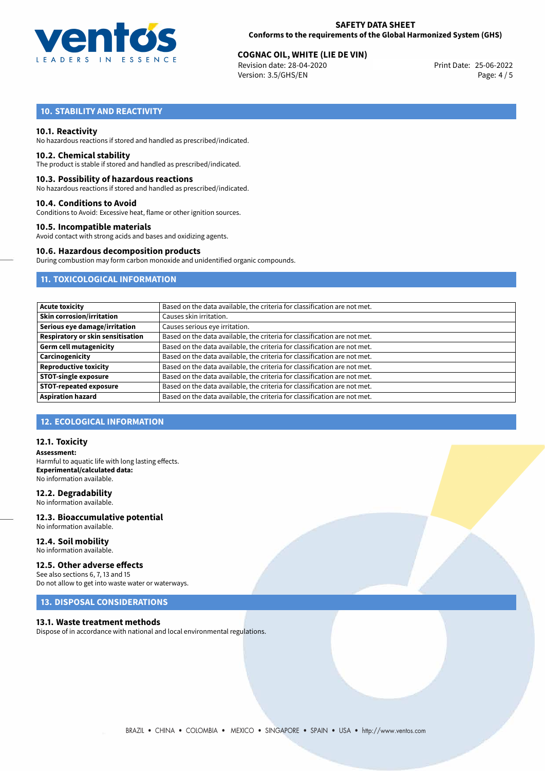

## **SAFETY DATA SHEET Conforms to the requirements of the Global Harmonized System (GHS)**

# **COGNAC OIL, WHITE (LIE DE VIN)**<br>
Revision date: 28-04-2020<br>
Print Date: 25-06-2022

Revision date: 28-04-2020 Version: 3.5/GHS/EN Page: 4 / 5

## **10. STABILITY AND REACTIVITY**

## **10.1. Reactivity**

No hazardous reactions if stored and handled as prescribed/indicated.

#### **10.2. Chemical stability**

The product is stable if stored and handled as prescribed/indicated.

#### **10.3. Possibility of hazardous reactions**

No hazardous reactions if stored and handled as prescribed/indicated.

#### **10.4. Conditions to Avoid**

Conditions to Avoid: Excessive heat, flame or other ignition sources.

## **10.5. Incompatible materials**

Avoid contact with strong acids and bases and oxidizing agents.

#### **10.6. Hazardous decomposition products**

During combustion may form carbon monoxide and unidentified organic compounds.

## **11. TOXICOLOGICAL INFORMATION**

| <b>Acute toxicity</b>                    | Based on the data available, the criteria for classification are not met. |
|------------------------------------------|---------------------------------------------------------------------------|
| <b>Skin corrosion/irritation</b>         | Causes skin irritation.                                                   |
| Serious eye damage/irritation            | Causes serious eye irritation.                                            |
| <b>Respiratory or skin sensitisation</b> | Based on the data available, the criteria for classification are not met. |
| <b>Germ cell mutagenicity</b>            | Based on the data available, the criteria for classification are not met. |
| Carcinogenicity                          | Based on the data available, the criteria for classification are not met. |
| <b>Reproductive toxicity</b>             | Based on the data available, the criteria for classification are not met. |
| <b>STOT-single exposure</b>              | Based on the data available, the criteria for classification are not met. |
| <b>STOT-repeated exposure</b>            | Based on the data available, the criteria for classification are not met. |
| <b>Aspiration hazard</b>                 | Based on the data available, the criteria for classification are not met. |

## **12. ECOLOGICAL INFORMATION**

### **12.1. Toxicity**

**Assessment:** Harmful to aquatic life with long lasting effects. **Experimental/calculated data:** No information available.

#### **12.2. Degradability**

No information available.

#### **12.3. Bioaccumulative potential** No information available.

**12.4. Soil mobility** No information available.

## **12.5. Other adverse effects**

See also sections 6, 7, 13 and 15 Do not allow to get into waste water or waterways.

## **13. DISPOSAL CONSIDERATIONS**

#### **13.1. Waste treatment methods**

Dispose of in accordance with national and local environmental regulations.